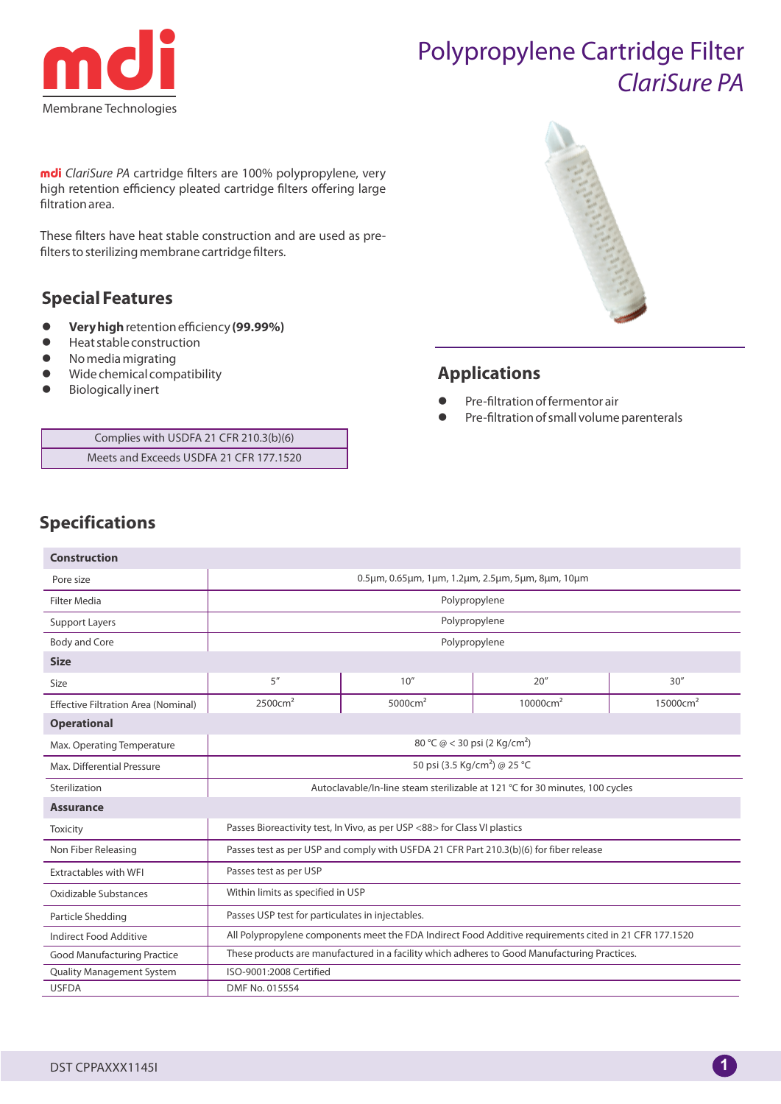

# Polypropylene Cartridge Filter ClariSure PA

mdi ClariSure PA cartridge filters are 100% polypropylene, very high retention efficiency pleated cartridge filters offering large filtration area.

These filters have heat stable construction and are used as prefilters to sterilizing membrane cartridge filters.

### **Special Features**

- **Very high** retention efficiency **(99.99%)**
- Heat stable construction
- No media migrating
- Wide chemical compatibility
- Biologically inert

Complies with USDFA 21 CFR 210.3(b)(6) Meets and Exceeds USDFA 21 CFR 177.1520



## **Applications**

- Pre-filtration of fermentor air
- Pre-filtration of small volume parenterals

# **Specifications**

| <b>Construction</b>                        |                                                                                                        |                     |                      |                      |  |  |  |  |  |  |
|--------------------------------------------|--------------------------------------------------------------------------------------------------------|---------------------|----------------------|----------------------|--|--|--|--|--|--|
| Pore size                                  | 0.5um, 0.65um, 1um, 1.2um, 2.5um, 5um, 8um, 10um                                                       |                     |                      |                      |  |  |  |  |  |  |
| <b>Filter Media</b>                        | Polypropylene                                                                                          |                     |                      |                      |  |  |  |  |  |  |
| <b>Support Layers</b>                      | Polypropylene                                                                                          |                     |                      |                      |  |  |  |  |  |  |
| <b>Body and Core</b>                       | Polypropylene                                                                                          |                     |                      |                      |  |  |  |  |  |  |
| <b>Size</b>                                |                                                                                                        |                     |                      |                      |  |  |  |  |  |  |
| Size                                       | 5''                                                                                                    | 10''                | 20''                 | 30''                 |  |  |  |  |  |  |
| <b>Effective Filtration Area (Nominal)</b> | 2500cm <sup>2</sup>                                                                                    | 5000cm <sup>2</sup> | 10000cm <sup>2</sup> | 15000cm <sup>2</sup> |  |  |  |  |  |  |
| <b>Operational</b>                         |                                                                                                        |                     |                      |                      |  |  |  |  |  |  |
| Max. Operating Temperature                 | 80 °C @ < 30 psi (2 Kg/cm <sup>2</sup> )                                                               |                     |                      |                      |  |  |  |  |  |  |
| Max. Differential Pressure                 | 50 psi (3.5 Kg/cm <sup>2</sup> ) @ 25 °C                                                               |                     |                      |                      |  |  |  |  |  |  |
| Sterilization                              | Autoclavable/In-line steam sterilizable at 121 °C for 30 minutes, 100 cycles                           |                     |                      |                      |  |  |  |  |  |  |
| <b>Assurance</b>                           |                                                                                                        |                     |                      |                      |  |  |  |  |  |  |
| <b>Toxicity</b>                            | Passes Bioreactivity test, In Vivo, as per USP <88> for Class VI plastics                              |                     |                      |                      |  |  |  |  |  |  |
| Non Fiber Releasing                        | Passes test as per USP and comply with USFDA 21 CFR Part 210.3(b)(6) for fiber release                 |                     |                      |                      |  |  |  |  |  |  |
| <b>Extractables with WFI</b>               | Passes test as per USP                                                                                 |                     |                      |                      |  |  |  |  |  |  |
| Oxidizable Substances                      | Within limits as specified in USP                                                                      |                     |                      |                      |  |  |  |  |  |  |
| Particle Shedding                          | Passes USP test for particulates in injectables.                                                       |                     |                      |                      |  |  |  |  |  |  |
| Indirect Food Additive                     | All Polypropylene components meet the FDA Indirect Food Additive requirements cited in 21 CFR 177.1520 |                     |                      |                      |  |  |  |  |  |  |
| <b>Good Manufacturing Practice</b>         | These products are manufactured in a facility which adheres to Good Manufacturing Practices.           |                     |                      |                      |  |  |  |  |  |  |
| <b>Quality Management System</b>           | ISO-9001:2008 Certified                                                                                |                     |                      |                      |  |  |  |  |  |  |
| <b>USFDA</b>                               | DMF No. 015554                                                                                         |                     |                      |                      |  |  |  |  |  |  |